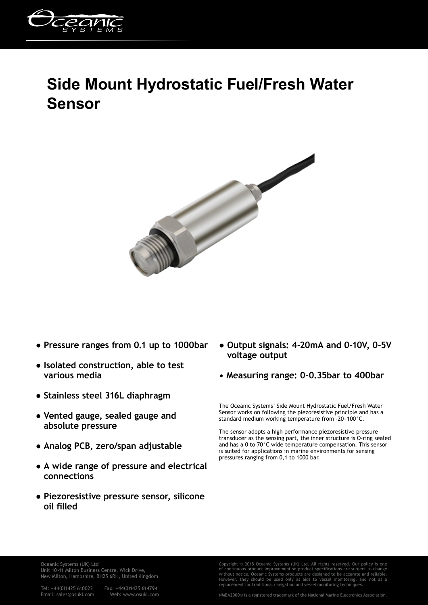

## **Side Mount Hydrostatic Fuel/Fresh Water Sensor**



- **Pressure ranges from 0.1 up to 1000bar**
- **Isolated construction, able to test various media**
- **Stainless steel 316L diaphragm**
- **Vented gauge, sealed gauge and absolute pressure**
- **Analog PCB, zero/span adjustable**
- **A wide range of pressure and electrical connections**
- **Piezoresistive pressure sensor, silicone oil filled**
- **Output signals: 4-20mA and 0-10V, 0-5V voltage output**
- **Measuring range: 0-0.35bar to 400bar**

The Oceanic Systems' Side Mount Hydrostatic Fuel/Fresh Water Sensor works on following the piezoresistive principle and has a standard medium working temperature from -20~100°C.

The sensor adopts a high performance piezoresistive pressure transducer as the sensing part, the inner structure is O-ring sealed and has a 0 to 70°C wide temperature compensation. This sensor is suited for applications in marine environments for sensing pressures ranging from 0,1 to 1000 bar.

Oceanic Systems (UK) Ltd Unit 10-11 Milton Business Centre, Wick Drive, New Milton, Hampshire, BH25 6RH, United Kingdom

Tel: +44(0)1425 610022 Fax: +44(0)1425 614794 Email: sales@osukl.com

Copyright © 2018 Oceanic Systems (UK) Ltd. All rights reserved. Our policy is of continuous product improvement so product specifications are subject to change without notice. Oceanic Systems products are designed to be accurate and reliable. However, they should be used only as aids to vessel monitoring, and not as a replacement for traditional navigation and vessel monitoring techniques.

NMEA2000® is a registered trademark of the National Marine Electronics Association.